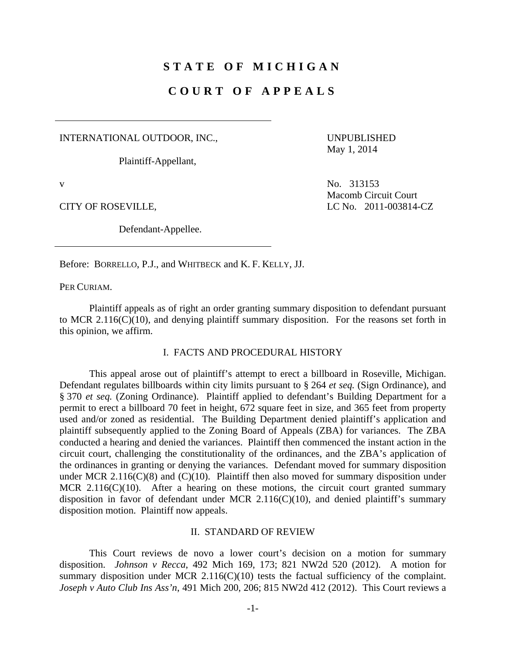# **STATE OF MICHIGAN**

## **COURT OF APPEALS**

INTERNATIONAL OUTDOOR, INC.,

Plaintiff-Appellant,

UNPUBLISHED May 1, 2014

Defendant-Appellee.

v No. 313153 Macomb Circuit Court CITY OF ROSEVILLE, LC No. 2011-003814-CZ

Before: BORRELLO, P.J., and WHITBECK and K. F. KELLY, JJ.

PER CURIAM.

 Plaintiff appeals as of right an order granting summary disposition to defendant pursuant to MCR 2.116(C)(10), and denying plaintiff summary disposition. For the reasons set forth in this opinion, we affirm.

#### I. FACTS AND PROCEDURAL HISTORY

 This appeal arose out of plaintiff's attempt to erect a billboard in Roseville, Michigan. Defendant regulates billboards within city limits pursuant to § 264 *et seq.* (Sign Ordinance), and § 370 *et seq.* (Zoning Ordinance). Plaintiff applied to defendant's Building Department for a permit to erect a billboard 70 feet in height, 672 square feet in size, and 365 feet from property used and/or zoned as residential. The Building Department denied plaintiff's application and plaintiff subsequently applied to the Zoning Board of Appeals (ZBA) for variances. The ZBA conducted a hearing and denied the variances. Plaintiff then commenced the instant action in the circuit court, challenging the constitutionality of the ordinances, and the ZBA's application of the ordinances in granting or denying the variances. Defendant moved for summary disposition under MCR 2.116(C)(8) and (C)(10). Plaintiff then also moved for summary disposition under MCR  $2.116(C)(10)$ . After a hearing on these motions, the circuit court granted summary disposition in favor of defendant under MCR 2.116(C)(10), and denied plaintiff's summary disposition motion. Plaintiff now appeals.

## II. STANDARD OF REVIEW

 This Court reviews de novo a lower court's decision on a motion for summary disposition. *Johnson v Recca*, 492 Mich 169, 173; 821 NW2d 520 (2012). A motion for summary disposition under MCR 2.116(C)(10) tests the factual sufficiency of the complaint. *Joseph v Auto Club Ins Ass'n*, 491 Mich 200, 206; 815 NW2d 412 (2012). This Court reviews a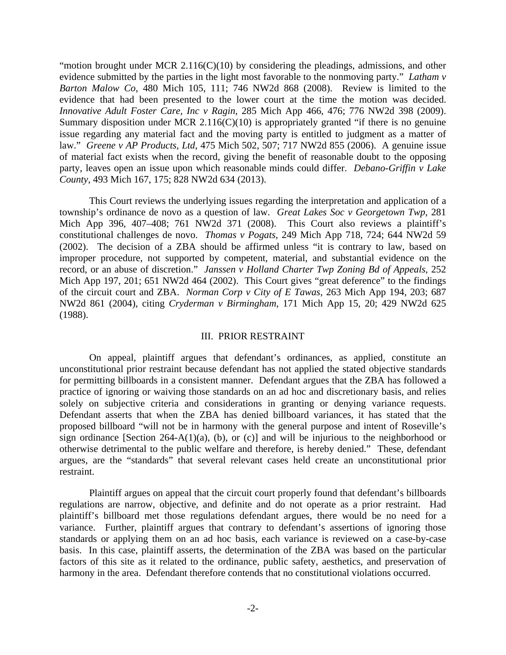"motion brought under MCR  $2.116(C)(10)$  by considering the pleadings, admissions, and other evidence submitted by the parties in the light most favorable to the nonmoving party." *Latham v Barton Malow Co*, 480 Mich 105, 111; 746 NW2d 868 (2008). Review is limited to the evidence that had been presented to the lower court at the time the motion was decided. *Innovative Adult Foster Care, Inc v Ragin*, 285 Mich App 466, 476; 776 NW2d 398 (2009). Summary disposition under MCR 2.116(C)(10) is appropriately granted "if there is no genuine issue regarding any material fact and the moving party is entitled to judgment as a matter of law." *Greene v AP Products, Ltd*, 475 Mich 502, 507; 717 NW2d 855 (2006). A genuine issue of material fact exists when the record, giving the benefit of reasonable doubt to the opposing party, leaves open an issue upon which reasonable minds could differ. *Debano-Griffin v Lake County*, 493 Mich 167, 175; 828 NW2d 634 (2013).

 This Court reviews the underlying issues regarding the interpretation and application of a township's ordinance de novo as a question of law. *Great Lakes Soc v Georgetown Twp*, 281 Mich App 396, 407–408; 761 NW2d 371 (2008). This Court also reviews a plaintiff's constitutional challenges de novo. *Thomas v Pogats*, 249 Mich App 718, 724; 644 NW2d 59 (2002). The decision of a ZBA should be affirmed unless "it is contrary to law, based on improper procedure, not supported by competent, material, and substantial evidence on the record, or an abuse of discretion." *Janssen v Holland Charter Twp Zoning Bd of Appeals*, 252 Mich App 197, 201; 651 NW2d 464 (2002). This Court gives "great deference" to the findings of the circuit court and ZBA. *Norman Corp v City of E Tawas*, 263 Mich App 194, 203; 687 NW2d 861 (2004), citing *Cryderman v Birmingham*, 171 Mich App 15, 20; 429 NW2d 625 (1988).

### III. PRIOR RESTRAINT

 On appeal, plaintiff argues that defendant's ordinances, as applied, constitute an unconstitutional prior restraint because defendant has not applied the stated objective standards for permitting billboards in a consistent manner. Defendant argues that the ZBA has followed a practice of ignoring or waiving those standards on an ad hoc and discretionary basis, and relies solely on subjective criteria and considerations in granting or denying variance requests. Defendant asserts that when the ZBA has denied billboard variances, it has stated that the proposed billboard "will not be in harmony with the general purpose and intent of Roseville's sign ordinance [Section 264-A(1)(a), (b), or (c)] and will be injurious to the neighborhood or otherwise detrimental to the public welfare and therefore, is hereby denied." These, defendant argues, are the "standards" that several relevant cases held create an unconstitutional prior restraint.

 Plaintiff argues on appeal that the circuit court properly found that defendant's billboards regulations are narrow, objective, and definite and do not operate as a prior restraint. Had plaintiff's billboard met those regulations defendant argues, there would be no need for a variance. Further, plaintiff argues that contrary to defendant's assertions of ignoring those standards or applying them on an ad hoc basis, each variance is reviewed on a case-by-case basis. In this case, plaintiff asserts, the determination of the ZBA was based on the particular factors of this site as it related to the ordinance, public safety, aesthetics, and preservation of harmony in the area. Defendant therefore contends that no constitutional violations occurred.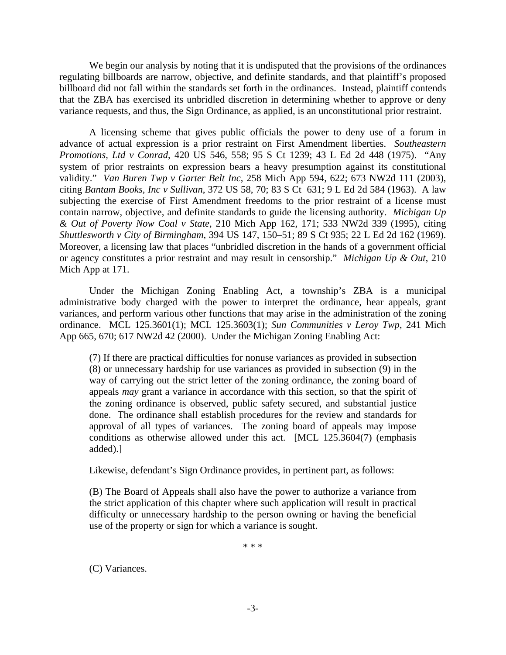We begin our analysis by noting that it is undisputed that the provisions of the ordinances regulating billboards are narrow, objective, and definite standards, and that plaintiff's proposed billboard did not fall within the standards set forth in the ordinances. Instead, plaintiff contends that the ZBA has exercised its unbridled discretion in determining whether to approve or deny variance requests, and thus, the Sign Ordinance, as applied, is an unconstitutional prior restraint.

 A licensing scheme that gives public officials the power to deny use of a forum in advance of actual expression is a prior restraint on First Amendment liberties. *Southeastern Promotions, Ltd v Conrad*, 420 US 546, 558; 95 S Ct 1239; 43 L Ed 2d 448 (1975). "Any system of prior restraints on expression bears a heavy presumption against its constitutional validity." *Van Buren Twp v Garter Belt Inc*, 258 Mich App 594, 622; 673 NW2d 111 (2003), citing *Bantam Books, Inc v Sullivan*, 372 US 58, 70; 83 S Ct 631; 9 L Ed 2d 584 (1963). A law subjecting the exercise of First Amendment freedoms to the prior restraint of a license must contain narrow, objective, and definite standards to guide the licensing authority. *Michigan Up & Out of Poverty Now Coal v State*, 210 Mich App 162, 171; 533 NW2d 339 (1995), citing *Shuttlesworth v City of Birmingham*, 394 US 147, 150–51; 89 S Ct 935; 22 L Ed 2d 162 (1969). Moreover, a licensing law that places "unbridled discretion in the hands of a government official or agency constitutes a prior restraint and may result in censorship." *Michigan Up & Out*, 210 Mich App at 171.

 Under the Michigan Zoning Enabling Act, a township's ZBA is a municipal administrative body charged with the power to interpret the ordinance, hear appeals, grant variances, and perform various other functions that may arise in the administration of the zoning ordinance. MCL 125.3601(1); MCL 125.3603(1); *Sun Communities v Leroy Twp*, 241 Mich App 665, 670; 617 NW2d 42 (2000). Under the Michigan Zoning Enabling Act:

(7) If there are practical difficulties for nonuse variances as provided in subsection (8) or unnecessary hardship for use variances as provided in subsection (9) in the way of carrying out the strict letter of the zoning ordinance, the zoning board of appeals *may* grant a variance in accordance with this section, so that the spirit of the zoning ordinance is observed, public safety secured, and substantial justice done. The ordinance shall establish procedures for the review and standards for approval of all types of variances. The zoning board of appeals may impose conditions as otherwise allowed under this act. [MCL 125.3604(7) (emphasis added).]

Likewise, defendant's Sign Ordinance provides, in pertinent part, as follows:

(B) The Board of Appeals shall also have the power to authorize a variance from the strict application of this chapter where such application will result in practical difficulty or unnecessary hardship to the person owning or having the beneficial use of the property or sign for which a variance is sought.

\* \* \*

(C) Variances.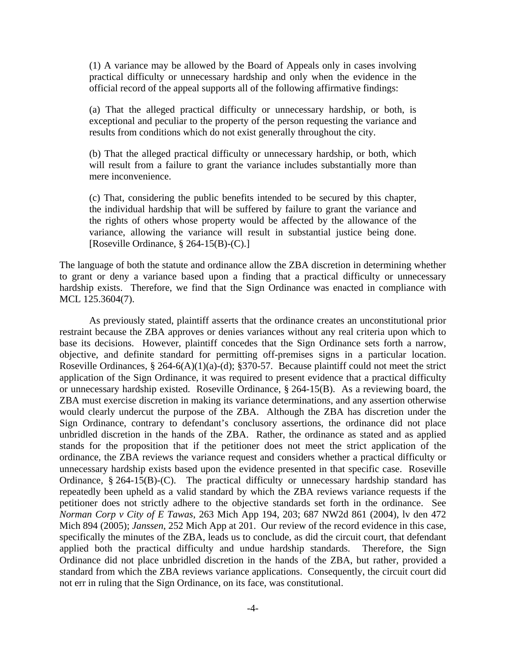(1) A variance may be allowed by the Board of Appeals only in cases involving practical difficulty or unnecessary hardship and only when the evidence in the official record of the appeal supports all of the following affirmative findings:

(a) That the alleged practical difficulty or unnecessary hardship, or both, is exceptional and peculiar to the property of the person requesting the variance and results from conditions which do not exist generally throughout the city.

(b) That the alleged practical difficulty or unnecessary hardship, or both, which will result from a failure to grant the variance includes substantially more than mere inconvenience.

(c) That, considering the public benefits intended to be secured by this chapter, the individual hardship that will be suffered by failure to grant the variance and the rights of others whose property would be affected by the allowance of the variance, allowing the variance will result in substantial justice being done. [Roseville Ordinance, § 264-15(B)-(C).]

The language of both the statute and ordinance allow the ZBA discretion in determining whether to grant or deny a variance based upon a finding that a practical difficulty or unnecessary hardship exists. Therefore, we find that the Sign Ordinance was enacted in compliance with MCL 125.3604(7).

 As previously stated, plaintiff asserts that the ordinance creates an unconstitutional prior restraint because the ZBA approves or denies variances without any real criteria upon which to base its decisions. However, plaintiff concedes that the Sign Ordinance sets forth a narrow, objective, and definite standard for permitting off-premises signs in a particular location. Roseville Ordinances,  $\S 264-6(A)(1)(a)-(d)$ ;  $\S 370-57$ . Because plaintiff could not meet the strict application of the Sign Ordinance, it was required to present evidence that a practical difficulty or unnecessary hardship existed. Roseville Ordinance, § 264-15(B). As a reviewing board, the ZBA must exercise discretion in making its variance determinations, and any assertion otherwise would clearly undercut the purpose of the ZBA. Although the ZBA has discretion under the Sign Ordinance, contrary to defendant's conclusory assertions, the ordinance did not place unbridled discretion in the hands of the ZBA. Rather, the ordinance as stated and as applied stands for the proposition that if the petitioner does not meet the strict application of the ordinance, the ZBA reviews the variance request and considers whether a practical difficulty or unnecessary hardship exists based upon the evidence presented in that specific case. Roseville Ordinance,  $\S 264-15(B)-(C)$ . The practical difficulty or unnecessary hardship standard has repeatedly been upheld as a valid standard by which the ZBA reviews variance requests if the petitioner does not strictly adhere to the objective standards set forth in the ordinance. See *Norman Corp v City of E Tawas*, 263 Mich App 194, 203; 687 NW2d 861 (2004), lv den 472 Mich 894 (2005); *Janssen*, 252 Mich App at 201. Our review of the record evidence in this case, specifically the minutes of the ZBA, leads us to conclude, as did the circuit court, that defendant applied both the practical difficulty and undue hardship standards. Therefore, the Sign Ordinance did not place unbridled discretion in the hands of the ZBA, but rather, provided a standard from which the ZBA reviews variance applications. Consequently, the circuit court did not err in ruling that the Sign Ordinance, on its face, was constitutional.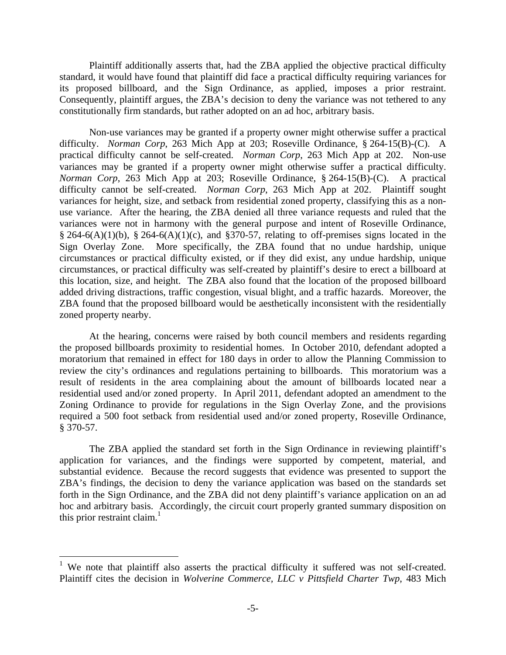Plaintiff additionally asserts that, had the ZBA applied the objective practical difficulty standard, it would have found that plaintiff did face a practical difficulty requiring variances for its proposed billboard, and the Sign Ordinance, as applied, imposes a prior restraint. Consequently, plaintiff argues, the ZBA's decision to deny the variance was not tethered to any constitutionally firm standards, but rather adopted on an ad hoc, arbitrary basis.

 Non-use variances may be granted if a property owner might otherwise suffer a practical difficulty. *Norman Corp*, 263 Mich App at 203; Roseville Ordinance, § 264-15(B)-(C). A practical difficulty cannot be self-created. *Norman Corp*, 263 Mich App at 202. Non-use variances may be granted if a property owner might otherwise suffer a practical difficulty. *Norman Corp*, 263 Mich App at 203; Roseville Ordinance, § 264-15(B)-(C). A practical difficulty cannot be self-created. *Norman Corp*, 263 Mich App at 202. Plaintiff sought variances for height, size, and setback from residential zoned property, classifying this as a nonuse variance. After the hearing, the ZBA denied all three variance requests and ruled that the variances were not in harmony with the general purpose and intent of Roseville Ordinance,  $§$  264-6(A)(1)(b), § 264-6(A)(1)(c), and §370-57, relating to off-premises signs located in the Sign Overlay Zone. More specifically, the ZBA found that no undue hardship, unique circumstances or practical difficulty existed, or if they did exist, any undue hardship, unique circumstances, or practical difficulty was self-created by plaintiff's desire to erect a billboard at this location, size, and height. The ZBA also found that the location of the proposed billboard added driving distractions, traffic congestion, visual blight, and a traffic hazards. Moreover, the ZBA found that the proposed billboard would be aesthetically inconsistent with the residentially zoned property nearby.

 At the hearing, concerns were raised by both council members and residents regarding the proposed billboards proximity to residential homes. In October 2010, defendant adopted a moratorium that remained in effect for 180 days in order to allow the Planning Commission to review the city's ordinances and regulations pertaining to billboards. This moratorium was a result of residents in the area complaining about the amount of billboards located near a residential used and/or zoned property. In April 2011, defendant adopted an amendment to the Zoning Ordinance to provide for regulations in the Sign Overlay Zone, and the provisions required a 500 foot setback from residential used and/or zoned property, Roseville Ordinance, § 370-57.

The ZBA applied the standard set forth in the Sign Ordinance in reviewing plaintiff's application for variances, and the findings were supported by competent, material, and substantial evidence. Because the record suggests that evidence was presented to support the ZBA's findings, the decision to deny the variance application was based on the standards set forth in the Sign Ordinance, and the ZBA did not deny plaintiff's variance application on an ad hoc and arbitrary basis. Accordingly, the circuit court properly granted summary disposition on this prior restraint claim. $1$ 

 $\overline{a}$ 

<sup>&</sup>lt;sup>1</sup> We note that plaintiff also asserts the practical difficulty it suffered was not self-created. Plaintiff cites the decision in *Wolverine Commerce, LLC v Pittsfield Charter Twp*, 483 Mich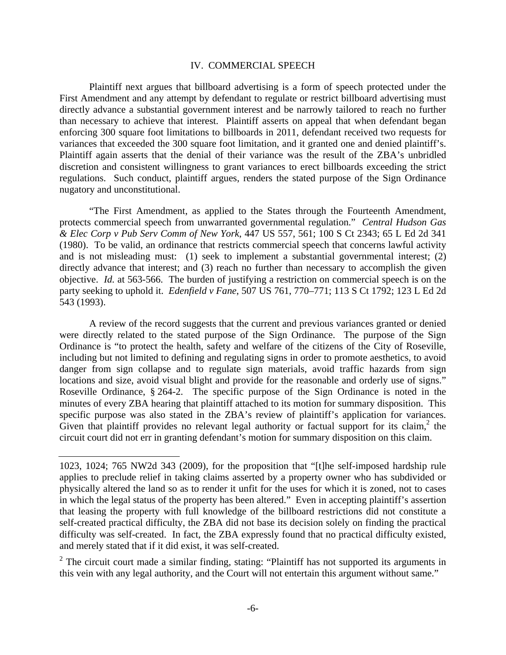#### IV. COMMERCIAL SPEECH

 Plaintiff next argues that billboard advertising is a form of speech protected under the First Amendment and any attempt by defendant to regulate or restrict billboard advertising must directly advance a substantial government interest and be narrowly tailored to reach no further than necessary to achieve that interest. Plaintiff asserts on appeal that when defendant began enforcing 300 square foot limitations to billboards in 2011, defendant received two requests for variances that exceeded the 300 square foot limitation, and it granted one and denied plaintiff's. Plaintiff again asserts that the denial of their variance was the result of the ZBA's unbridled discretion and consistent willingness to grant variances to erect billboards exceeding the strict regulations. Such conduct, plaintiff argues, renders the stated purpose of the Sign Ordinance nugatory and unconstitutional.

 "The First Amendment, as applied to the States through the Fourteenth Amendment, protects commercial speech from unwarranted governmental regulation." *Central Hudson Gas & Elec Corp v Pub Serv Comm of New York*, 447 US 557, 561; 100 S Ct 2343; 65 L Ed 2d 341 (1980). To be valid, an ordinance that restricts commercial speech that concerns lawful activity and is not misleading must: (1) seek to implement a substantial governmental interest; (2) directly advance that interest; and (3) reach no further than necessary to accomplish the given objective. *Id.* at 563-566. The burden of justifying a restriction on commercial speech is on the party seeking to uphold it. *Edenfield v Fane*, 507 US 761, 770–771; 113 S Ct 1792; 123 L Ed 2d 543 (1993).

 A review of the record suggests that the current and previous variances granted or denied were directly related to the stated purpose of the Sign Ordinance. The purpose of the Sign Ordinance is "to protect the health, safety and welfare of the citizens of the City of Roseville, including but not limited to defining and regulating signs in order to promote aesthetics, to avoid danger from sign collapse and to regulate sign materials, avoid traffic hazards from sign locations and size, avoid visual blight and provide for the reasonable and orderly use of signs." Roseville Ordinance, § 264-2. The specific purpose of the Sign Ordinance is noted in the minutes of every ZBA hearing that plaintiff attached to its motion for summary disposition. This specific purpose was also stated in the ZBA's review of plaintiff's application for variances. Given that plaintiff provides no relevant legal authority or factual support for its claim,<sup>2</sup> the circuit court did not err in granting defendant's motion for summary disposition on this claim.

<sup>2</sup> The circuit court made a similar finding, stating: "Plaintiff has not supported its arguments in this vein with any legal authority, and the Court will not entertain this argument without same."

<sup>1023, 1024; 765</sup> NW2d 343 (2009), for the proposition that "[t]he self-imposed hardship rule applies to preclude relief in taking claims asserted by a property owner who has subdivided or physically altered the land so as to render it unfit for the uses for which it is zoned, not to cases in which the legal status of the property has been altered." Even in accepting plaintiff's assertion that leasing the property with full knowledge of the billboard restrictions did not constitute a self-created practical difficulty, the ZBA did not base its decision solely on finding the practical difficulty was self-created. In fact, the ZBA expressly found that no practical difficulty existed, and merely stated that if it did exist, it was self-created.